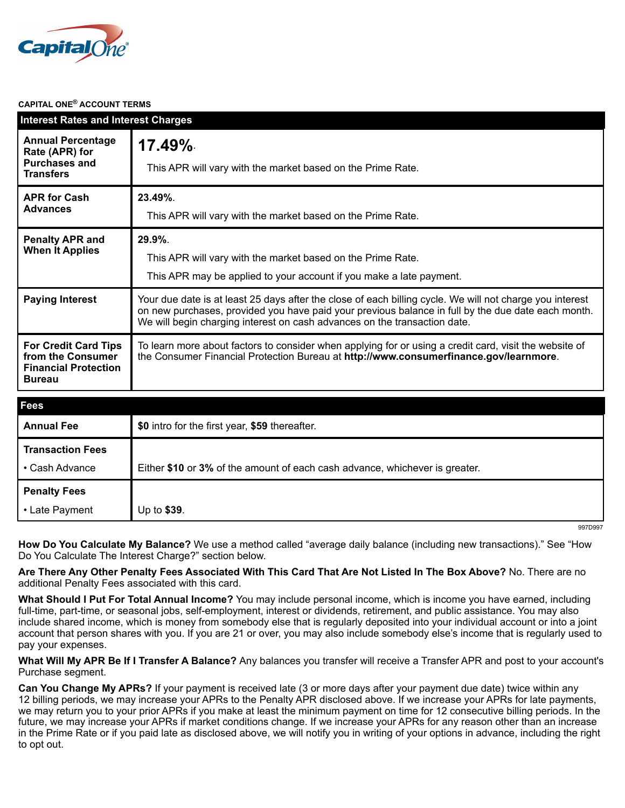

#### **CAPITAL ONE® ACCOUNT TERMS**

| <b>Interest Rates and Interest Charges</b>                                                       |                                                                                                                                                                                                                                                                                             |
|--------------------------------------------------------------------------------------------------|---------------------------------------------------------------------------------------------------------------------------------------------------------------------------------------------------------------------------------------------------------------------------------------------|
| <b>Annual Percentage</b><br>Rate (APR) for<br><b>Purchases and</b><br><b>Transfers</b>           | $17.49\%$<br>This APR will vary with the market based on the Prime Rate.                                                                                                                                                                                                                    |
| <b>APR for Cash</b><br><b>Advances</b>                                                           | 23.49%.<br>This APR will vary with the market based on the Prime Rate.                                                                                                                                                                                                                      |
| <b>Penalty APR and</b><br><b>When It Applies</b>                                                 | 29.9%.<br>This APR will vary with the market based on the Prime Rate.<br>This APR may be applied to your account if you make a late payment.                                                                                                                                                |
| <b>Paying Interest</b>                                                                           | Your due date is at least 25 days after the close of each billing cycle. We will not charge you interest<br>on new purchases, provided you have paid your previous balance in full by the due date each month.<br>We will begin charging interest on cash advances on the transaction date. |
| <b>For Credit Card Tips</b><br>from the Consumer<br><b>Financial Protection</b><br><b>Bureau</b> | To learn more about factors to consider when applying for or using a credit card, visit the website of<br>the Consumer Financial Protection Bureau at http://www.consumerfinance.gov/learnmore.                                                                                             |
| <b>Fees</b>                                                                                      |                                                                                                                                                                                                                                                                                             |
| <b>Annual Fee</b>                                                                                | \$0 intro for the first year, \$59 thereafter.                                                                                                                                                                                                                                              |
| <b>Transaction Fees</b>                                                                          |                                                                                                                                                                                                                                                                                             |

| • Cash Advance      | Either \$10 or 3% of the amount of each cash advance, whichever is greater. |
|---------------------|-----------------------------------------------------------------------------|
| <b>Penalty Fees</b> |                                                                             |
| • Late Payment      | Up to $$39.$                                                                |

997D997

**How Do You Calculate My Balance?** We use a method called "average daily balance (including new transactions)." See "How Do You Calculate The Interest Charge?" section below.

**Are There Any Other Penalty Fees Associated With This Card That Are Not Listed In The Box Above?** No. There are no additional Penalty Fees associated with this card.

**What Should I Put For Total Annual Income?** You may include personal income, which is income you have earned, including full-time, part-time, or seasonal jobs, self-employment, interest or dividends, retirement, and public assistance. You may also include shared income, which is money from somebody else that is regularly deposited into your individual account or into a joint account that person shares with you. If you are 21 or over, you may also include somebody else's income that is regularly used to pay your expenses.

**What Will My APR Be If I Transfer A Balance?** Any balances you transfer will receive a Transfer APR and post to your account's Purchase segment.

**Can You Change My APRs?** If your payment is received late (3 or more days after your payment due date) twice within any 12 billing periods, we may increase your APRs to the Penalty APR disclosed above. If we increase your APRs for late payments, we may return you to your prior APRs if you make at least the minimum payment on time for 12 consecutive billing periods. In the future, we may increase your APRs if market conditions change. If we increase your APRs for any reason other than an increase in the Prime Rate or if you paid late as disclosed above, we will notify you in writing of your options in advance, including the right to opt out.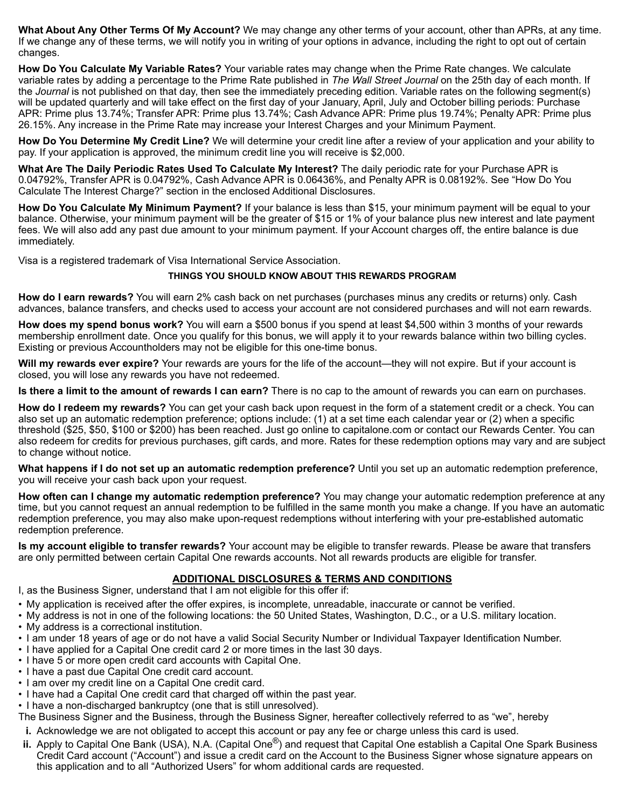**What About Any Other Terms Of My Account?** We may change any other terms of your account, other than APRs, at any time. If we change any of these terms, we will notify you in writing of your options in advance, including the right to opt out of certain changes.

**How Do You Calculate My Variable Rates?** Your variable rates may change when the Prime Rate changes. We calculate variable rates by adding a percentage to the Prime Rate published in *The Wall Street Journal* on the 25th day of each month. If the *Journal* is not published on that day, then see the immediately preceding edition. Variable rates on the following segment(s) will be updated quarterly and will take effect on the first day of your January, April, July and October billing periods: Purchase APR: Prime plus 13.74%; Transfer APR: Prime plus 13.74%; Cash Advance APR: Prime plus 19.74%; Penalty APR: Prime plus 26.15%. Any increase in the Prime Rate may increase your Interest Charges and your Minimum Payment.

**How Do You Determine My Credit Line?** We will determine your credit line after a review of your application and your ability to pay. If your application is approved, the minimum credit line you will receive is \$2,000.

**What Are The Daily Periodic Rates Used To Calculate My Interest?** The daily periodic rate for your Purchase APR is 0.04792%, Transfer APR is 0.04792%, Cash Advance APR is 0.06436%, and Penalty APR is 0.08192%. See "How Do You Calculate The Interest Charge?" section in the enclosed Additional Disclosures.

**How Do You Calculate My Minimum Payment?** If your balance is less than \$15, your minimum payment will be equal to your balance. Otherwise, your minimum payment will be the greater of \$15 or 1% of your balance plus new interest and late payment fees. We will also add any past due amount to your minimum payment. If your Account charges off, the entire balance is due immediately.

Visa is a registered trademark of Visa International Service Association.

#### **THINGS YOU SHOULD KNOW ABOUT THIS REWARDS PROGRAM**

**How do I earn rewards?** You will earn 2% cash back on net purchases (purchases minus any credits or returns) only. Cash advances, balance transfers, and checks used to access your account are not considered purchases and will not earn rewards.

**How does my spend bonus work?** You will earn a \$500 bonus if you spend at least \$4,500 within 3 months of your rewards membership enrollment date. Once you qualify for this bonus, we will apply it to your rewards balance within two billing cycles. Existing or previous Accountholders may not be eligible for this one-time bonus.

**Will my rewards ever expire?** Your rewards are yours for the life of the account—they will not expire. But if your account is closed, you will lose any rewards you have not redeemed.

**Is there a limit to the amount of rewards I can earn?** There is no cap to the amount of rewards you can earn on purchases.

**How do I redeem my rewards?** You can get your cash back upon request in the form of a statement credit or a check. You can also set up an automatic redemption preference; options include: (1) at a set time each calendar year or (2) when a specific threshold (\$25, \$50, \$100 or \$200) has been reached. Just go online to capitalone.com or contact our Rewards Center. You can also redeem for credits for previous purchases, gift cards, and more. Rates for these redemption options may vary and are subject to change without notice.

**What happens if I do not set up an automatic redemption preference?** Until you set up an automatic redemption preference, you will receive your cash back upon your request.

**How often can I change my automatic redemption preference?** You may change your automatic redemption preference at any time, but you cannot request an annual redemption to be fulfilled in the same month you make a change. If you have an automatic redemption preference, you may also make upon-request redemptions without interfering with your pre-established automatic redemption preference.

**Is my account eligible to transfer rewards?** Your account may be eligible to transfer rewards. Please be aware that transfers are only permitted between certain Capital One rewards accounts. Not all rewards products are eligible for transfer.

#### **ADDITIONAL DISCLOSURES & TERMS AND CONDITIONS**

- I, as the Business Signer, understand that I am not eligible for this offer if:
- My application is received after the offer expires, is incomplete, unreadable, inaccurate or cannot be verified.
- My address is not in one of the following locations: the 50 United States, Washington, D.C., or a U.S. military location.
- My address is a correctional institution.
- I am under 18 years of age or do not have a valid Social Security Number or Individual Taxpayer Identification Number.
- I have applied for a Capital One credit card 2 or more times in the last 30 days.
- I have 5 or more open credit card accounts with Capital One.
- I have a past due Capital One credit card account.
- I am over my credit line on a Capital One credit card.
- I have had a Capital One credit card that charged off within the past year.
- I have a non-discharged bankruptcy (one that is still unresolved).

The Business Signer and the Business, through the Business Signer, hereafter collectively referred to as "we", hereby

**i.** Acknowledge we are not obligated to accept this account or pay any fee or charge unless this card is used.

**ii.** Apply to Capital One Bank (USA), N.A. (Capital One<sup>®</sup>) and request that Capital One establish a Capital One Spark Business Credit Card account ("Account") and issue a credit card on the Account to the Business Signer whose signature appears on this application and to all "Authorized Users" for whom additional cards are requested.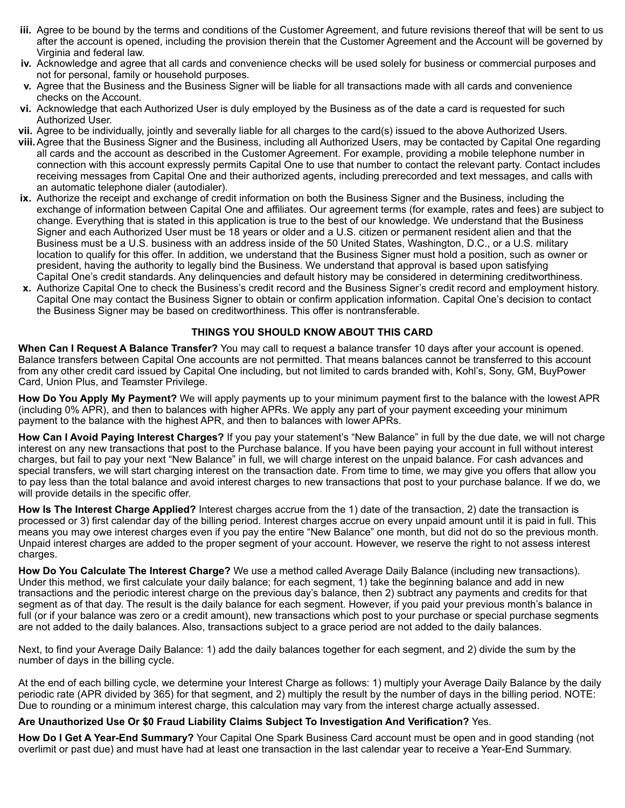- **iii.** Agree to be bound by the terms and conditions of the Customer Agreement, and future revisions thereof that will be sent to us after the account is opened, including the provision therein that the Customer Agreement and the Account will be governed by Virginia and federal law.
- **iv.** Acknowledge and agree that all cards and convenience checks will be used solely for business or commercial purposes and not for personal, family or household purposes.
- **v.** Agree that the Business and the Business Signer will be liable for all transactions made with all cards and convenience checks on the Account.
- **vi.** Acknowledge that each Authorized User is duly employed by the Business as of the date a card is requested for such Authorized User.
- **vii.** Agree to be individually, jointly and severally liable for all charges to the card(s) issued to the above Authorized Users.
- **viii.**Agree that the Business Signer and the Business, including all Authorized Users, may be contacted by Capital One regarding all cards and the account as described in the Customer Agreement. For example, providing a mobile telephone number in connection with this account expressly permits Capital One to use that number to contact the relevant party. Contact includes receiving messages from Capital One and their authorized agents, including prerecorded and text messages, and calls with an automatic telephone dialer (autodialer).
- **ix.** Authorize the receipt and exchange of credit information on both the Business Signer and the Business, including the exchange of information between Capital One and affiliates. Our agreement terms (for example, rates and fees) are subject to change. Everything that is stated in this application is true to the best of our knowledge. We understand that the Business Signer and each Authorized User must be 18 years or older and a U.S. citizen or permanent resident alien and that the Business must be a U.S. business with an address inside of the 50 United States, Washington, D.C., or a U.S. military location to qualify for this offer. In addition, we understand that the Business Signer must hold a position, such as owner or president, having the authority to legally bind the Business. We understand that approval is based upon satisfying Capital One's credit standards. Any delinquencies and default history may be considered in determining creditworthiness.
- **x.** Authorize Capital One to check the Business's credit record and the Business Signer's credit record and employment history. Capital One may contact the Business Signer to obtain or confirm application information. Capital One's decision to contact the Business Signer may be based on creditworthiness. This offer is nontransferable.

### **THINGS YOU SHOULD KNOW ABOUT THIS CARD**

**When Can I Request A Balance Transfer?** You may call to request a balance transfer 10 days after your account is opened. Balance transfers between Capital One accounts are not permitted. That means balances cannot be transferred to this account from any other credit card issued by Capital One including, but not limited to cards branded with, Kohl's, Sony, GM, BuyPower Card, Union Plus, and Teamster Privilege.

**How Do You Apply My Payment?** We will apply payments up to your minimum payment first to the balance with the lowest APR (including 0% APR), and then to balances with higher APRs. We apply any part of your payment exceeding your minimum payment to the balance with the highest APR, and then to balances with lower APRs.

**How Can I Avoid Paying Interest Charges?** If you pay your statement's "New Balance" in full by the due date, we will not charge interest on any new transactions that post to the Purchase balance. If you have been paying your account in full without interest charges, but fail to pay your next "New Balance" in full, we will charge interest on the unpaid balance. For cash advances and special transfers, we will start charging interest on the transaction date. From time to time, we may give you offers that allow you to pay less than the total balance and avoid interest charges to new transactions that post to your purchase balance. If we do, we will provide details in the specific offer.

**How Is The Interest Charge Applied?** Interest charges accrue from the 1) date of the transaction, 2) date the transaction is processed or 3) first calendar day of the billing period. Interest charges accrue on every unpaid amount until it is paid in full. This means you may owe interest charges even if you pay the entire "New Balance" one month, but did not do so the previous month. Unpaid interest charges are added to the proper segment of your account. However, we reserve the right to not assess interest charges.

**How Do You Calculate The Interest Charge?** We use a method called Average Daily Balance (including new transactions). Under this method, we first calculate your daily balance; for each segment, 1) take the beginning balance and add in new transactions and the periodic interest charge on the previous day's balance, then 2) subtract any payments and credits for that segment as of that day. The result is the daily balance for each segment. However, if you paid your previous month's balance in full (or if your balance was zero or a credit amount), new transactions which post to your purchase or special purchase segments are not added to the daily balances. Also, transactions subject to a grace period are not added to the daily balances.

Next, to find your Average Daily Balance: 1) add the daily balances together for each segment, and 2) divide the sum by the number of days in the billing cycle.

At the end of each billing cycle, we determine your Interest Charge as follows: 1) multiply your Average Daily Balance by the daily periodic rate (APR divided by 365) for that segment, and 2) multiply the result by the number of days in the billing period. NOTE: Due to rounding or a minimum interest charge, this calculation may vary from the interest charge actually assessed.

#### **Are Unauthorized Use Or \$0 Fraud Liability Claims Subject To Investigation And Verification?** Yes.

**How Do I Get A Year-End Summary?** Your Capital One Spark Business Card account must be open and in good standing (not overlimit or past due) and must have had at least one transaction in the last calendar year to receive a Year-End Summary.